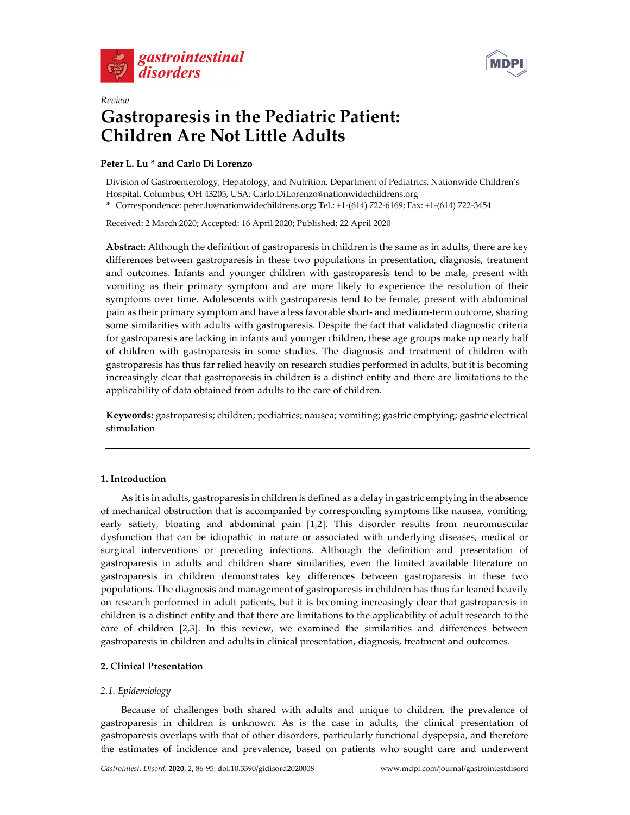



# *Review* **Gastroparesis in the Pediatric Patient: Children Are Not Little Adults**

# **Peter L. Lu \* and Carlo Di Lorenzo**

Division of Gastroenterology, Hepatology, and Nutrition, Department of Pediatrics, Nationwide Children's Hospital, Columbus, OH 43205, USA; Carlo.DiLorenzo@nationwidechildrens.org

**\*** Correspondence: peter.lu@nationwidechildrens.org; Tel.: +1-(614) 722-6169; Fax: +1-(614) 722-3454

Received: 2 March 2020; Accepted: 16 April 2020; Published: 22 April 2020

**Abstract:** Although the definition of gastroparesis in children is the same as in adults, there are key differences between gastroparesis in these two populations in presentation, diagnosis, treatment and outcomes. Infants and younger children with gastroparesis tend to be male, present with vomiting as their primary symptom and are more likely to experience the resolution of their symptoms over time. Adolescents with gastroparesis tend to be female, present with abdominal pain as their primary symptom and have a less favorable short- and medium-term outcome, sharing some similarities with adults with gastroparesis. Despite the fact that validated diagnostic criteria for gastroparesis are lacking in infants and younger children, these age groups make up nearly half of children with gastroparesis in some studies. The diagnosis and treatment of children with gastroparesis has thus far relied heavily on research studies performed in adults, but it is becoming increasingly clear that gastroparesis in children is a distinct entity and there are limitations to the applicability of data obtained from adults to the care of children.

**Keywords:** gastroparesis; children; pediatrics; nausea; vomiting; gastric emptying; gastric electrical stimulation

# **1. Introduction**

As it is in adults, gastroparesis in children is defined as a delay in gastric emptying in the absence of mechanical obstruction that is accompanied by corresponding symptoms like nausea, vomiting, early satiety, bloating and abdominal pain [1,2]. This disorder results from neuromuscular dysfunction that can be idiopathic in nature or associated with underlying diseases, medical or surgical interventions or preceding infections. Although the definition and presentation of gastroparesis in adults and children share similarities, even the limited available literature on gastroparesis in children demonstrates key differences between gastroparesis in these two populations. The diagnosis and management of gastroparesis in children has thus far leaned heavily on research performed in adult patients, but it is becoming increasingly clear that gastroparesis in children is a distinct entity and that there are limitations to the applicability of adult research to the care of children [2,3]. In this review, we examined the similarities and differences between gastroparesis in children and adults in clinical presentation, diagnosis, treatment and outcomes.

# **2. Clinical Presentation**

# *2.1. Epidemiology*

Because of challenges both shared with adults and unique to children, the prevalence of gastroparesis in children is unknown. As is the case in adults, the clinical presentation of gastroparesis overlaps with that of other disorders, particularly functional dyspepsia, and therefore the estimates of incidence and prevalence, based on patients who sought care and underwent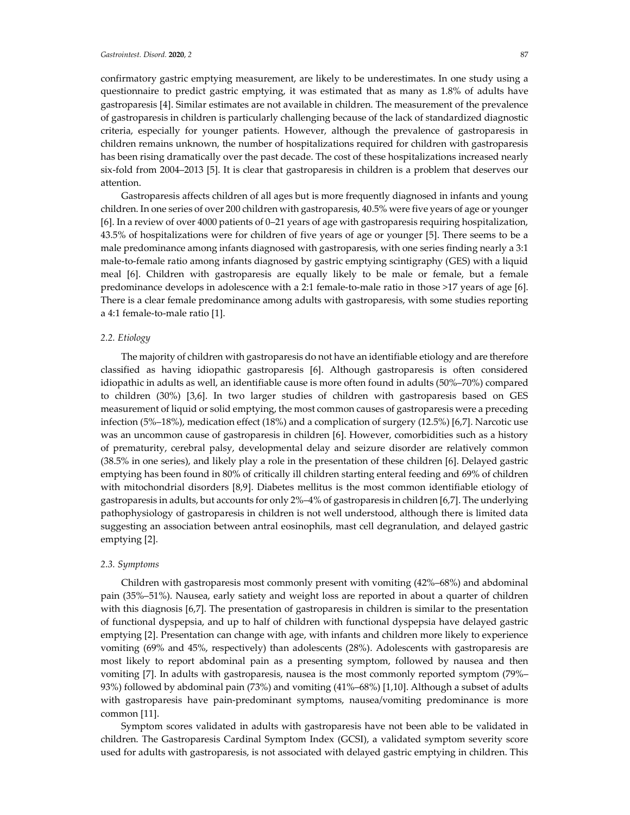confirmatory gastric emptying measurement, are likely to be underestimates. In one study using a questionnaire to predict gastric emptying, it was estimated that as many as 1.8% of adults have gastroparesis [4]. Similar estimates are not available in children. The measurement of the prevalence of gastroparesis in children is particularly challenging because of the lack of standardized diagnostic criteria, especially for younger patients. However, although the prevalence of gastroparesis in children remains unknown, the number of hospitalizations required for children with gastroparesis has been rising dramatically over the past decade. The cost of these hospitalizations increased nearly six-fold from 2004–2013 [5]. It is clear that gastroparesis in children is a problem that deserves our attention.

Gastroparesis affects children of all ages but is more frequently diagnosed in infants and young children. In one series of over 200 children with gastroparesis, 40.5% were five years of age or younger [6]. In a review of over 4000 patients of 0–21 years of age with gastroparesis requiring hospitalization, 43.5% of hospitalizations were for children of five years of age or younger [5]. There seems to be a male predominance among infants diagnosed with gastroparesis, with one series finding nearly a 3:1 male-to-female ratio among infants diagnosed by gastric emptying scintigraphy (GES) with a liquid meal [6]. Children with gastroparesis are equally likely to be male or female, but a female predominance develops in adolescence with a 2:1 female-to-male ratio in those >17 years of age [6]. There is a clear female predominance among adults with gastroparesis, with some studies reporting a 4:1 female-to-male ratio [1].

## *2.2. Etiology*

The majority of children with gastroparesis do not have an identifiable etiology and are therefore classified as having idiopathic gastroparesis [6]. Although gastroparesis is often considered idiopathic in adults as well, an identifiable cause is more often found in adults (50%–70%) compared to children (30%) [3,6]. In two larger studies of children with gastroparesis based on GES measurement of liquid or solid emptying, the most common causes of gastroparesis were a preceding infection (5%–18%), medication effect (18%) and a complication of surgery (12.5%) [6,7]. Narcotic use was an uncommon cause of gastroparesis in children [6]. However, comorbidities such as a history of prematurity, cerebral palsy, developmental delay and seizure disorder are relatively common (38.5% in one series), and likely play a role in the presentation of these children [6]. Delayed gastric emptying has been found in 80% of critically ill children starting enteral feeding and 69% of children with mitochondrial disorders [8,9]. Diabetes mellitus is the most common identifiable etiology of gastroparesis in adults, but accounts for only 2%–4% of gastroparesis in children [6,7]. The underlying pathophysiology of gastroparesis in children is not well understood, although there is limited data suggesting an association between antral eosinophils, mast cell degranulation, and delayed gastric emptying [2].

#### *2.3. Symptoms*

Children with gastroparesis most commonly present with vomiting (42%–68%) and abdominal pain (35%–51%). Nausea, early satiety and weight loss are reported in about a quarter of children with this diagnosis [6,7]. The presentation of gastroparesis in children is similar to the presentation of functional dyspepsia, and up to half of children with functional dyspepsia have delayed gastric emptying [2]. Presentation can change with age, with infants and children more likely to experience vomiting (69% and 45%, respectively) than adolescents (28%). Adolescents with gastroparesis are most likely to report abdominal pain as a presenting symptom, followed by nausea and then vomiting [7]. In adults with gastroparesis, nausea is the most commonly reported symptom (79%– 93%) followed by abdominal pain (73%) and vomiting (41%–68%) [1,10]. Although a subset of adults with gastroparesis have pain-predominant symptoms, nausea/vomiting predominance is more common [11].

Symptom scores validated in adults with gastroparesis have not been able to be validated in children. The Gastroparesis Cardinal Symptom Index (GCSI), a validated symptom severity score used for adults with gastroparesis, is not associated with delayed gastric emptying in children. This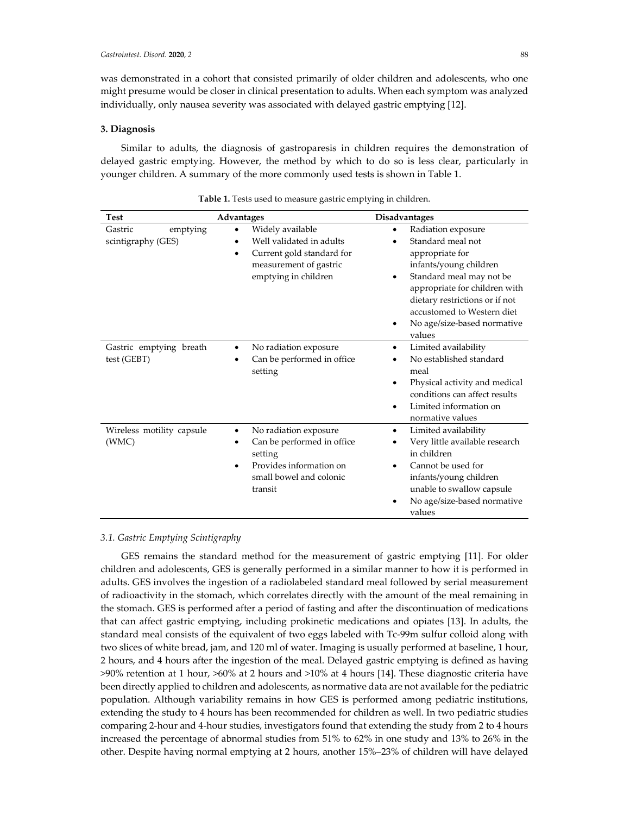was demonstrated in a cohort that consisted primarily of older children and adolescents, who one might presume would be closer in clinical presentation to adults. When each symptom was analyzed individually, only nausea severity was associated with delayed gastric emptying [12].

## **3. Diagnosis**

Similar to adults, the diagnosis of gastroparesis in children requires the demonstration of delayed gastric emptying. However, the method by which to do so is less clear, particularly in younger children. A summary of the more commonly used tests is shown in Table 1.

| <b>Test</b>                               | Advantages                                                                                                                       | <b>Disadvantages</b>                                                                                                                                                                                                                                            |
|-------------------------------------------|----------------------------------------------------------------------------------------------------------------------------------|-----------------------------------------------------------------------------------------------------------------------------------------------------------------------------------------------------------------------------------------------------------------|
| Gastric<br>emptying<br>scintigraphy (GES) | Widely available<br>Well validated in adults<br>Current gold standard for<br>٠<br>measurement of gastric<br>emptying in children | Radiation exposure<br>Standard meal not<br>appropriate for<br>infants/young children<br>Standard meal may not be<br>appropriate for children with<br>dietary restrictions or if not<br>accustomed to Western diet<br>No age/size-based normative<br>٠<br>values |
| Gastric emptying breath<br>test (GEBT)    | No radiation exposure<br>Can be performed in office<br>setting                                                                   | Limited availability<br>٠<br>No established standard<br>meal<br>Physical activity and medical<br>conditions can affect results<br>Limited information on<br>٠<br>normative values                                                                               |
| Wireless motility capsule<br>(WMC)        | No radiation exposure<br>Can be performed in office<br>setting<br>Provides information on<br>small bowel and colonic<br>transit  | Limited availability<br>٠<br>Very little available research<br>in children<br>Cannot be used for<br>infants/young children<br>unable to swallow capsule<br>No age/size-based normative<br>values                                                                |

| Table 1. Tests used to measure gastric emptying in children. |  |  |  |
|--------------------------------------------------------------|--|--|--|
|--------------------------------------------------------------|--|--|--|

#### *3.1. Gastric Emptying Scintigraphy*

GES remains the standard method for the measurement of gastric emptying [11]. For older children and adolescents, GES is generally performed in a similar manner to how it is performed in adults. GES involves the ingestion of a radiolabeled standard meal followed by serial measurement of radioactivity in the stomach, which correlates directly with the amount of the meal remaining in the stomach. GES is performed after a period of fasting and after the discontinuation of medications that can affect gastric emptying, including prokinetic medications and opiates [13]. In adults, the standard meal consists of the equivalent of two eggs labeled with Tc-99m sulfur colloid along with two slices of white bread, jam, and 120 ml of water. Imaging is usually performed at baseline, 1 hour, 2 hours, and 4 hours after the ingestion of the meal. Delayed gastric emptying is defined as having >90% retention at 1 hour, >60% at 2 hours and >10% at 4 hours [14]. These diagnostic criteria have been directly applied to children and adolescents, as normative data are not available for the pediatric population. Although variability remains in how GES is performed among pediatric institutions, extending the study to 4 hours has been recommended for children as well. In two pediatric studies comparing 2-hour and 4-hour studies, investigators found that extending the study from 2 to 4 hours increased the percentage of abnormal studies from 51% to 62% in one study and 13% to 26% in the other. Despite having normal emptying at 2 hours, another 15%–23% of children will have delayed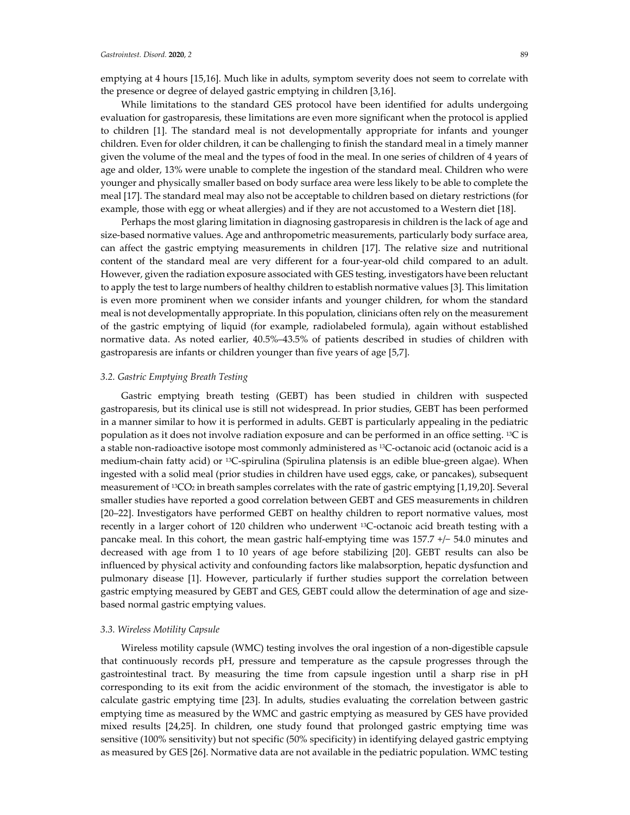emptying at 4 hours [15,16]. Much like in adults, symptom severity does not seem to correlate with the presence or degree of delayed gastric emptying in children [3,16].

While limitations to the standard GES protocol have been identified for adults undergoing evaluation for gastroparesis, these limitations are even more significant when the protocol is applied to children [1]. The standard meal is not developmentally appropriate for infants and younger children. Even for older children, it can be challenging to finish the standard meal in a timely manner given the volume of the meal and the types of food in the meal. In one series of children of 4 years of age and older, 13% were unable to complete the ingestion of the standard meal. Children who were younger and physically smaller based on body surface area were less likely to be able to complete the meal [17]. The standard meal may also not be acceptable to children based on dietary restrictions (for example, those with egg or wheat allergies) and if they are not accustomed to a Western diet [18].

Perhaps the most glaring limitation in diagnosing gastroparesis in children is the lack of age and size-based normative values. Age and anthropometric measurements, particularly body surface area, can affect the gastric emptying measurements in children [17]. The relative size and nutritional content of the standard meal are very different for a four-year-old child compared to an adult. However, given the radiation exposure associated with GES testing, investigators have been reluctant to apply the test to large numbers of healthy children to establish normative values [3]. This limitation is even more prominent when we consider infants and younger children, for whom the standard meal is not developmentally appropriate. In this population, clinicians often rely on the measurement of the gastric emptying of liquid (for example, radiolabeled formula), again without established normative data. As noted earlier, 40.5%–43.5% of patients described in studies of children with gastroparesis are infants or children younger than five years of age [5,7].

## *3.2. Gastric Emptying Breath Testing*

Gastric emptying breath testing (GEBT) has been studied in children with suspected gastroparesis, but its clinical use is still not widespread. In prior studies, GEBT has been performed in a manner similar to how it is performed in adults. GEBT is particularly appealing in the pediatric population as it does not involve radiation exposure and can be performed in an office setting. 13C is a stable non-radioactive isotope most commonly administered as 13C-octanoic acid (octanoic acid is a medium-chain fatty acid) or 13C-spirulina (Spirulina platensis is an edible blue-green algae). When ingested with a solid meal (prior studies in children have used eggs, cake, or pancakes), subsequent measurement of <sup>13</sup>CO<sub>2</sub> in breath samples correlates with the rate of gastric emptying [1,19,20]. Several smaller studies have reported a good correlation between GEBT and GES measurements in children [20–22]. Investigators have performed GEBT on healthy children to report normative values, most recently in a larger cohort of 120 children who underwent 13C-octanoic acid breath testing with a pancake meal. In this cohort, the mean gastric half-emptying time was 157.7 +/− 54.0 minutes and decreased with age from 1 to 10 years of age before stabilizing [20]. GEBT results can also be influenced by physical activity and confounding factors like malabsorption, hepatic dysfunction and pulmonary disease [1]. However, particularly if further studies support the correlation between gastric emptying measured by GEBT and GES, GEBT could allow the determination of age and sizebased normal gastric emptying values.

#### *3.3. Wireless Motility Capsule*

Wireless motility capsule (WMC) testing involves the oral ingestion of a non-digestible capsule that continuously records pH, pressure and temperature as the capsule progresses through the gastrointestinal tract. By measuring the time from capsule ingestion until a sharp rise in pH corresponding to its exit from the acidic environment of the stomach, the investigator is able to calculate gastric emptying time [23]. In adults, studies evaluating the correlation between gastric emptying time as measured by the WMC and gastric emptying as measured by GES have provided mixed results [24,25]. In children, one study found that prolonged gastric emptying time was sensitive (100% sensitivity) but not specific (50% specificity) in identifying delayed gastric emptying as measured by GES [26]. Normative data are not available in the pediatric population. WMC testing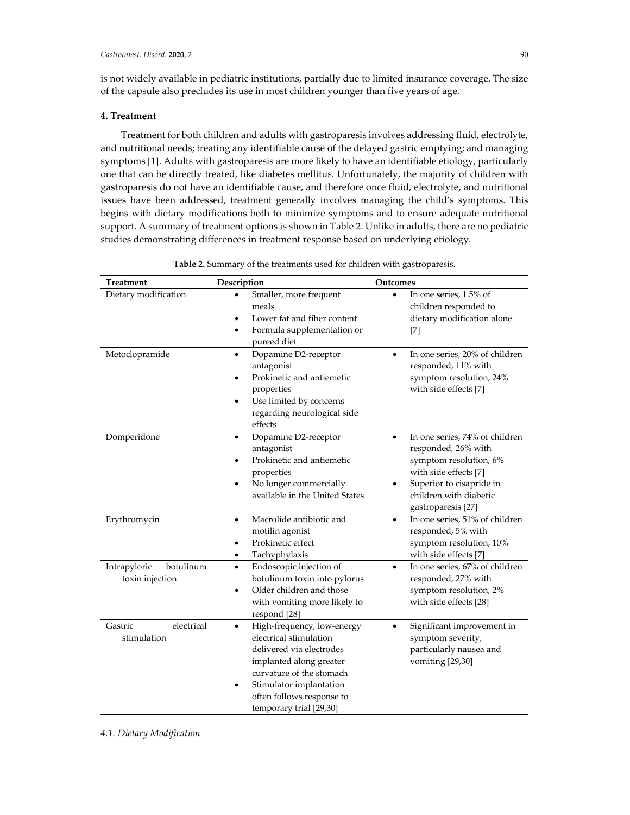is not widely available in pediatric institutions, partially due to limited insurance coverage. The size of the capsule also precludes its use in most children younger than five years of age.

### **4. Treatment**

Treatment for both children and adults with gastroparesis involves addressing fluid, electrolyte, and nutritional needs; treating any identifiable cause of the delayed gastric emptying; and managing symptoms [1]. Adults with gastroparesis are more likely to have an identifiable etiology, particularly one that can be directly treated, like diabetes mellitus. Unfortunately, the majority of children with gastroparesis do not have an identifiable cause, and therefore once fluid, electrolyte, and nutritional issues have been addressed, treatment generally involves managing the child's symptoms. This begins with dietary modifications both to minimize symptoms and to ensure adequate nutritional support. A summary of treatment options is shown in Table 2. Unlike in adults, there are no pediatric studies demonstrating differences in treatment response based on underlying etiology.

| <b>Treatment</b>                             | Description                                                                                                                                                                                                                                  | Outcomes                                                                                                                                                                                               |
|----------------------------------------------|----------------------------------------------------------------------------------------------------------------------------------------------------------------------------------------------------------------------------------------------|--------------------------------------------------------------------------------------------------------------------------------------------------------------------------------------------------------|
| Dietary modification                         | Smaller, more frequent<br>meals<br>Lower fat and fiber content<br>Formula supplementation or<br>٠<br>pureed diet                                                                                                                             | In one series, 1.5% of<br>$\bullet$<br>children responded to<br>dietary modification alone<br>$[7]$                                                                                                    |
| Metoclopramide                               | Dopamine D2-receptor<br>$\bullet$<br>antagonist<br>Prokinetic and antiemetic<br>properties<br>Use limited by concerns<br>٠<br>regarding neurological side<br>effects                                                                         | In one series, 20% of children<br>$\bullet$<br>responded, 11% with<br>symptom resolution, 24%<br>with side effects [7]                                                                                 |
| Domperidone                                  | Dopamine D2-receptor<br>$\bullet$<br>antagonist<br>Prokinetic and antiemetic<br>properties<br>No longer commercially<br>available in the United States                                                                                       | In one series, 74% of children<br>$\bullet$<br>responded, 26% with<br>symptom resolution, 6%<br>with side effects [7]<br>Superior to cisapride in<br>٠<br>children with diabetic<br>gastroparesis [27] |
| Erythromycin                                 | Macrolide antibiotic and<br>$\bullet$<br>motilin agonist<br>Prokinetic effect<br>Tachyphylaxis                                                                                                                                               | In one series, 51% of children<br>$\bullet$<br>responded, 5% with<br>symptom resolution, 10%<br>with side effects [7]                                                                                  |
| Intrapyloric<br>botulinum<br>toxin injection | Endoscopic injection of<br>$\bullet$<br>botulinum toxin into pylorus<br>Older children and those<br>٠<br>with vomiting more likely to<br>respond [28]                                                                                        | In one series, 67% of children<br>$\bullet$<br>responded, 27% with<br>symptom resolution, 2%<br>with side effects [28]                                                                                 |
| electrical<br>Gastric<br>stimulation         | High-frequency, low-energy<br>$\bullet$<br>electrical stimulation<br>delivered via electrodes<br>implanted along greater<br>curvature of the stomach<br>Stimulator implantation<br>٠<br>often follows response to<br>temporary trial [29,30] | Significant improvement in<br>$\bullet$<br>symptom severity,<br>particularly nausea and<br>vomiting [29,30]                                                                                            |

**Table 2.** Summary of the treatments used for children with gastroparesis.

*4.1. Dietary Modification*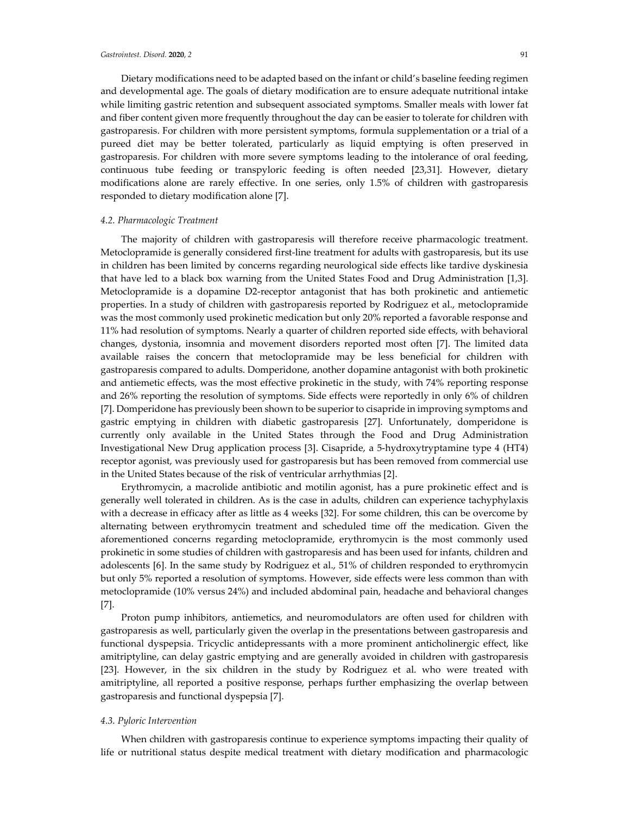Dietary modifications need to be adapted based on the infant or child's baseline feeding regimen and developmental age. The goals of dietary modification are to ensure adequate nutritional intake while limiting gastric retention and subsequent associated symptoms. Smaller meals with lower fat and fiber content given more frequently throughout the day can be easier to tolerate for children with gastroparesis. For children with more persistent symptoms, formula supplementation or a trial of a pureed diet may be better tolerated, particularly as liquid emptying is often preserved in gastroparesis. For children with more severe symptoms leading to the intolerance of oral feeding, continuous tube feeding or transpyloric feeding is often needed [23,31]. However, dietary modifications alone are rarely effective. In one series, only 1.5% of children with gastroparesis responded to dietary modification alone [7].

#### *4.2. Pharmacologic Treatment*

The majority of children with gastroparesis will therefore receive pharmacologic treatment. Metoclopramide is generally considered first-line treatment for adults with gastroparesis, but its use in children has been limited by concerns regarding neurological side effects like tardive dyskinesia that have led to a black box warning from the United States Food and Drug Administration [1,3]. Metoclopramide is a dopamine D2-receptor antagonist that has both prokinetic and antiemetic properties. In a study of children with gastroparesis reported by Rodriguez et al., metoclopramide was the most commonly used prokinetic medication but only 20% reported a favorable response and 11% had resolution of symptoms. Nearly a quarter of children reported side effects, with behavioral changes, dystonia, insomnia and movement disorders reported most often [7]. The limited data available raises the concern that metoclopramide may be less beneficial for children with gastroparesis compared to adults. Domperidone, another dopamine antagonist with both prokinetic and antiemetic effects, was the most effective prokinetic in the study, with 74% reporting response and 26% reporting the resolution of symptoms. Side effects were reportedly in only 6% of children [7]. Domperidone has previously been shown to be superior to cisapride in improving symptoms and gastric emptying in children with diabetic gastroparesis [27]. Unfortunately, domperidone is currently only available in the United States through the Food and Drug Administration Investigational New Drug application process [3]. Cisapride, a 5-hydroxytryptamine type 4 (HT4) receptor agonist, was previously used for gastroparesis but has been removed from commercial use in the United States because of the risk of ventricular arrhythmias [2].

Erythromycin, a macrolide antibiotic and motilin agonist, has a pure prokinetic effect and is generally well tolerated in children. As is the case in adults, children can experience tachyphylaxis with a decrease in efficacy after as little as 4 weeks [32]. For some children, this can be overcome by alternating between erythromycin treatment and scheduled time off the medication. Given the aforementioned concerns regarding metoclopramide, erythromycin is the most commonly used prokinetic in some studies of children with gastroparesis and has been used for infants, children and adolescents [6]. In the same study by Rodriguez et al., 51% of children responded to erythromycin but only 5% reported a resolution of symptoms. However, side effects were less common than with metoclopramide (10% versus 24%) and included abdominal pain, headache and behavioral changes [7].

Proton pump inhibitors, antiemetics, and neuromodulators are often used for children with gastroparesis as well, particularly given the overlap in the presentations between gastroparesis and functional dyspepsia. Tricyclic antidepressants with a more prominent anticholinergic effect, like amitriptyline, can delay gastric emptying and are generally avoided in children with gastroparesis [23]. However, in the six children in the study by Rodriguez et al. who were treated with amitriptyline, all reported a positive response, perhaps further emphasizing the overlap between gastroparesis and functional dyspepsia [7].

#### *4.3. Pyloric Intervention*

When children with gastroparesis continue to experience symptoms impacting their quality of life or nutritional status despite medical treatment with dietary modification and pharmacologic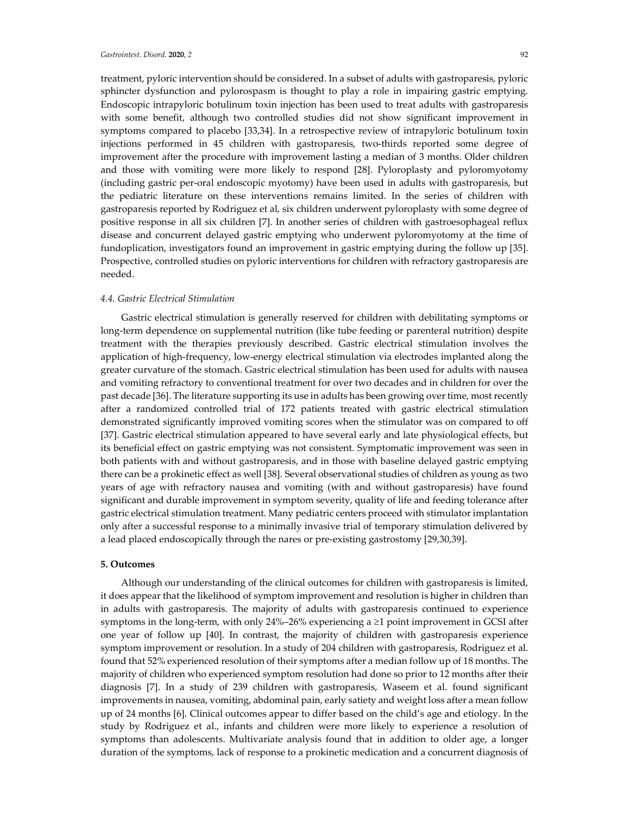treatment, pyloric intervention should be considered. In a subset of adults with gastroparesis, pyloric sphincter dysfunction and pylorospasm is thought to play a role in impairing gastric emptying. Endoscopic intrapyloric botulinum toxin injection has been used to treat adults with gastroparesis with some benefit, although two controlled studies did not show significant improvement in symptoms compared to placebo [33,34]. In a retrospective review of intrapyloric botulinum toxin injections performed in 45 children with gastroparesis, two-thirds reported some degree of improvement after the procedure with improvement lasting a median of 3 months. Older children and those with vomiting were more likely to respond [28]. Pyloroplasty and pyloromyotomy (including gastric per-oral endoscopic myotomy) have been used in adults with gastroparesis, but the pediatric literature on these interventions remains limited. In the series of children with gastroparesis reported by Rodriguez et al, six children underwent pyloroplasty with some degree of positive response in all six children [7]. In another series of children with gastroesophageal reflux disease and concurrent delayed gastric emptying who underwent pyloromyotomy at the time of fundoplication, investigators found an improvement in gastric emptying during the follow up [35]. Prospective, controlled studies on pyloric interventions for children with refractory gastroparesis are needed.

## *4.4. Gastric Electrical Stimulation*

Gastric electrical stimulation is generally reserved for children with debilitating symptoms or long-term dependence on supplemental nutrition (like tube feeding or parenteral nutrition) despite treatment with the therapies previously described. Gastric electrical stimulation involves the application of high-frequency, low-energy electrical stimulation via electrodes implanted along the greater curvature of the stomach. Gastric electrical stimulation has been used for adults with nausea and vomiting refractory to conventional treatment for over two decades and in children for over the past decade [36]. The literature supporting its use in adults has been growing over time, most recently after a randomized controlled trial of 172 patients treated with gastric electrical stimulation demonstrated significantly improved vomiting scores when the stimulator was on compared to off [37]. Gastric electrical stimulation appeared to have several early and late physiological effects, but its beneficial effect on gastric emptying was not consistent. Symptomatic improvement was seen in both patients with and without gastroparesis, and in those with baseline delayed gastric emptying there can be a prokinetic effect as well [38]. Several observational studies of children as young as two years of age with refractory nausea and vomiting (with and without gastroparesis) have found significant and durable improvement in symptom severity, quality of life and feeding tolerance after gastric electrical stimulation treatment. Many pediatric centers proceed with stimulator implantation only after a successful response to a minimally invasive trial of temporary stimulation delivered by a lead placed endoscopically through the nares or pre-existing gastrostomy [29,30,39].

#### **5. Outcomes**

Although our understanding of the clinical outcomes for children with gastroparesis is limited, it does appear that the likelihood of symptom improvement and resolution is higher in children than in adults with gastroparesis. The majority of adults with gastroparesis continued to experience symptoms in the long-term, with only 24%–26% experiencing a  $\geq 1$  point improvement in GCSI after one year of follow up [40]. In contrast, the majority of children with gastroparesis experience symptom improvement or resolution. In a study of 204 children with gastroparesis, Rodriguez et al. found that 52% experienced resolution of their symptoms after a median follow up of 18 months. The majority of children who experienced symptom resolution had done so prior to 12 months after their diagnosis [7]. In a study of 239 children with gastroparesis, Waseem et al. found significant improvements in nausea, vomiting, abdominal pain, early satiety and weight loss after a mean follow up of 24 months [6]. Clinical outcomes appear to differ based on the child's age and etiology. In the study by Rodriguez et al., infants and children were more likely to experience a resolution of symptoms than adolescents. Multivariate analysis found that in addition to older age, a longer duration of the symptoms, lack of response to a prokinetic medication and a concurrent diagnosis of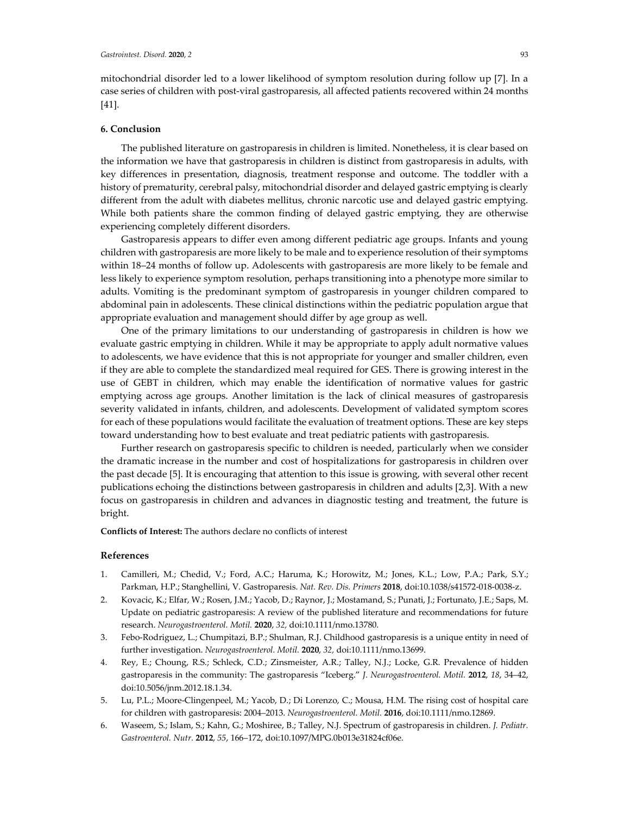mitochondrial disorder led to a lower likelihood of symptom resolution during follow up [7]. In a case series of children with post-viral gastroparesis, all affected patients recovered within 24 months [41].

## **6. Conclusion**

The published literature on gastroparesis in children is limited. Nonetheless, it is clear based on the information we have that gastroparesis in children is distinct from gastroparesis in adults, with key differences in presentation, diagnosis, treatment response and outcome. The toddler with a history of prematurity, cerebral palsy, mitochondrial disorder and delayed gastric emptying is clearly different from the adult with diabetes mellitus, chronic narcotic use and delayed gastric emptying. While both patients share the common finding of delayed gastric emptying, they are otherwise experiencing completely different disorders.

Gastroparesis appears to differ even among different pediatric age groups. Infants and young children with gastroparesis are more likely to be male and to experience resolution of their symptoms within 18–24 months of follow up. Adolescents with gastroparesis are more likely to be female and less likely to experience symptom resolution, perhaps transitioning into a phenotype more similar to adults. Vomiting is the predominant symptom of gastroparesis in younger children compared to abdominal pain in adolescents. These clinical distinctions within the pediatric population argue that appropriate evaluation and management should differ by age group as well.

One of the primary limitations to our understanding of gastroparesis in children is how we evaluate gastric emptying in children. While it may be appropriate to apply adult normative values to adolescents, we have evidence that this is not appropriate for younger and smaller children, even if they are able to complete the standardized meal required for GES. There is growing interest in the use of GEBT in children, which may enable the identification of normative values for gastric emptying across age groups. Another limitation is the lack of clinical measures of gastroparesis severity validated in infants, children, and adolescents. Development of validated symptom scores for each of these populations would facilitate the evaluation of treatment options. These are key steps toward understanding how to best evaluate and treat pediatric patients with gastroparesis.

Further research on gastroparesis specific to children is needed, particularly when we consider the dramatic increase in the number and cost of hospitalizations for gastroparesis in children over the past decade [5]. It is encouraging that attention to this issue is growing, with several other recent publications echoing the distinctions between gastroparesis in children and adults [2,3]. With a new focus on gastroparesis in children and advances in diagnostic testing and treatment, the future is bright.

**Conflicts of Interest:** The authors declare no conflicts of interest

## **References**

- 1. Camilleri, M.; Chedid, V.; Ford, A.C.; Haruma, K.; Horowitz, M.; Jones, K.L.; Low, P.A.; Park, S.Y.; Parkman, H.P.; Stanghellini, V. Gastroparesis. *Nat. Rev. Dis. Primers* **2018**, doi:10.1038/s41572-018-0038-z.
- 2. Kovacic, K.; Elfar, W.; Rosen, J.M.; Yacob, D.; Raynor, J.; Mostamand, S.; Punati, J.; Fortunato, J.E.; Saps, M. Update on pediatric gastroparesis: A review of the published literature and recommendations for future research. *Neurogastroenterol. Motil.* **2020**, *32,* doi:10.1111/nmo.13780.
- 3. Febo-Rodriguez, L.; Chumpitazi, B.P.; Shulman, R.J. Childhood gastroparesis is a unique entity in need of further investigation. *Neurogastroenterol. Motil.* **2020**, *32,* doi:10.1111/nmo.13699.
- 4. Rey, E.; Choung, R.S.; Schleck, C.D.; Zinsmeister, A.R.; Talley, N.J.; Locke, G.R. Prevalence of hidden gastroparesis in the community: The gastroparesis "Iceberg." *J. Neurogastroenterol. Motil.* **2012**, *18*, 34–42, doi:10.5056/jnm.2012.18.1.34.
- 5. Lu, P.L.; Moore-Clingenpeel, M.; Yacob, D.; Di Lorenzo, C.; Mousa, H.M. The rising cost of hospital care for children with gastroparesis: 2004–2013. *Neurogastroenterol. Motil.* **2016**, doi:10.1111/nmo.12869.
- 6. Waseem, S.; Islam, S.; Kahn, G.; Moshiree, B.; Talley, N.J. Spectrum of gastroparesis in children. *J. Pediatr. Gastroenterol. Nutr.* **2012**, *55*, 166–172, doi:10.1097/MPG.0b013e31824cf06e.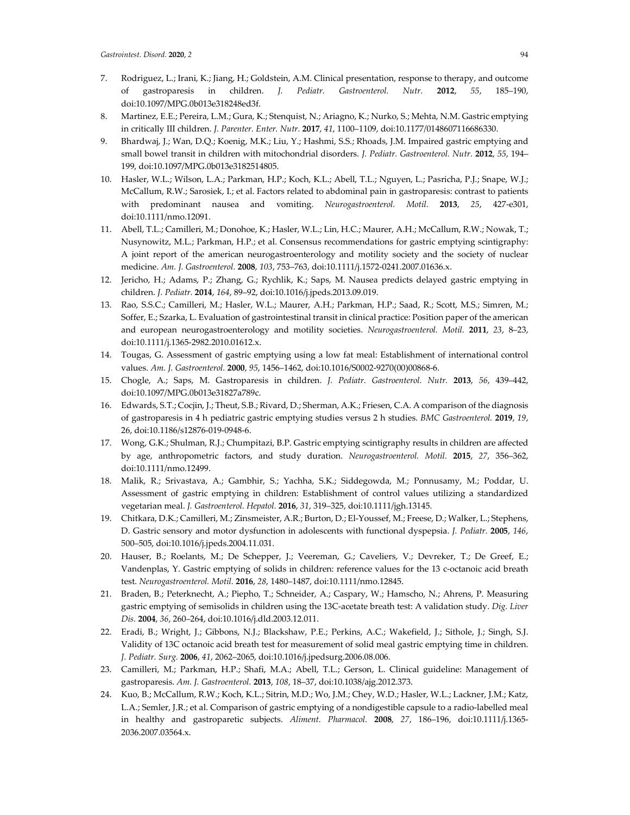- 7. Rodriguez, L.; Irani, K.; Jiang, H.; Goldstein, A.M. Clinical presentation, response to therapy, and outcome of gastroparesis in children. *J. Pediatr. Gastroenterol. Nutr.* **2012**, *55*, 185–190, doi:10.1097/MPG.0b013e318248ed3f.
- 8. Martinez, E.E.; Pereira, L.M.; Gura, K.; Stenquist, N.; Ariagno, K.; Nurko, S.; Mehta, N.M. Gastric emptying in critically III children. *J. Parenter. Enter. Nutr.* **2017**, *41*, 1100–1109, doi:10.1177/0148607116686330.
- 9. Bhardwaj, J.; Wan, D.Q.; Koenig, M.K.; Liu, Y.; Hashmi, S.S.; Rhoads, J.M. Impaired gastric emptying and small bowel transit in children with mitochondrial disorders. *J. Pediatr. Gastroenterol. Nutr.* **2012**, *55*, 194– 199, doi:10.1097/MPG.0b013e3182514805.
- 10. Hasler, W.L.; Wilson, L.A.; Parkman, H.P.; Koch, K.L.; Abell, T.L.; Nguyen, L.; Pasricha, P.J.; Snape, W.J.; McCallum, R.W.; Sarosiek, I.; et al. Factors related to abdominal pain in gastroparesis: contrast to patients with predominant nausea and vomiting. *Neurogastroenterol. Motil.* **2013**, *25*, 427-e301, doi:10.1111/nmo.12091.
- 11. Abell, T.L.; Camilleri, M.; Donohoe, K.; Hasler, W.L.; Lin, H.C.; Maurer, A.H.; McCallum, R.W.; Nowak, T.; Nusynowitz, M.L.; Parkman, H.P.; et al. Consensus recommendations for gastric emptying scintigraphy: A joint report of the american neurogastroenterology and motility society and the society of nuclear medicine. *Am. J. Gastroenterol.* **2008**, *103*, 753–763, doi:10.1111/j.1572-0241.2007.01636.x.
- 12. Jericho, H.; Adams, P.; Zhang, G.; Rychlik, K.; Saps, M. Nausea predicts delayed gastric emptying in children. *J. Pediatr.* **2014**, *164*, 89–92, doi:10.1016/j.jpeds.2013.09.019.
- 13. Rao, S.S.C.; Camilleri, M.; Hasler, W.L.; Maurer, A.H.; Parkman, H.P.; Saad, R.; Scott, M.S.; Simren, M.; Soffer, E.; Szarka, L. Evaluation of gastrointestinal transit in clinical practice: Position paper of the american and european neurogastroenterology and motility societies. *Neurogastroenterol. Motil.* **2011**, *23*, 8–23, doi:10.1111/j.1365-2982.2010.01612.x.
- 14. Tougas, G. Assessment of gastric emptying using a low fat meal: Establishment of international control values. *Am. J. Gastroenterol.* **2000**, *95*, 1456–1462, doi:10.1016/S0002-9270(00)00868-6.
- 15. Chogle, A.; Saps, M. Gastroparesis in children. *J. Pediatr. Gastroenterol. Nutr.* **2013**, *56*, 439–442, doi:10.1097/MPG.0b013e31827a789c.
- 16. Edwards, S.T.; Cocjin, J.; Theut, S.B.; Rivard, D.; Sherman, A.K.; Friesen, C.A. A comparison of the diagnosis of gastroparesis in 4 h pediatric gastric emptying studies versus 2 h studies. *BMC Gastroenterol.* **2019**, *19*, 26, doi:10.1186/s12876-019-0948-6.
- 17. Wong, G.K.; Shulman, R.J.; Chumpitazi, B.P. Gastric emptying scintigraphy results in children are affected by age, anthropometric factors, and study duration. *Neurogastroenterol. Motil.* **2015**, *27*, 356–362, doi:10.1111/nmo.12499.
- 18. Malik, R.; Srivastava, A.; Gambhir, S.; Yachha, S.K.; Siddegowda, M.; Ponnusamy, M.; Poddar, U. Assessment of gastric emptying in children: Establishment of control values utilizing a standardized vegetarian meal. *J. Gastroenterol. Hepatol.* **2016**, *31*, 319–325, doi:10.1111/jgh.13145.
- 19. Chitkara, D.K.; Camilleri, M.; Zinsmeister, A.R.; Burton, D.; El-Youssef, M.; Freese, D.; Walker, L.; Stephens, D. Gastric sensory and motor dysfunction in adolescents with functional dyspepsia. *J. Pediatr.* **2005**, *146*, 500–505, doi:10.1016/j.jpeds.2004.11.031.
- 20. Hauser, B.; Roelants, M.; De Schepper, J.; Veereman, G.; Caveliers, V.; Devreker, T.; De Greef, E.; Vandenplas, Y. Gastric emptying of solids in children: reference values for the 13 c-octanoic acid breath test. *Neurogastroenterol. Motil.* **2016**, *28*, 1480–1487, doi:10.1111/nmo.12845.
- 21. Braden, B.; Peterknecht, A.; Piepho, T.; Schneider, A.; Caspary, W.; Hamscho, N.; Ahrens, P. Measuring gastric emptying of semisolids in children using the 13C-acetate breath test: A validation study. *Dig. Liver Dis.* **2004**, *36*, 260–264, doi:10.1016/j.dld.2003.12.011.
- 22. Eradi, B.; Wright, J.; Gibbons, N.J.; Blackshaw, P.E.; Perkins, A.C.; Wakefield, J.; Sithole, J.; Singh, S.J. Validity of 13C octanoic acid breath test for measurement of solid meal gastric emptying time in children. *J. Pediatr. Surg.* **2006**, *41*, 2062–2065, doi:10.1016/j.jpedsurg.2006.08.006.
- 23. Camilleri, M.; Parkman, H.P.; Shafi, M.A.; Abell, T.L.; Gerson, L. Clinical guideline: Management of gastroparesis. *Am. J. Gastroenterol.* **2013**, *108*, 18–37, doi:10.1038/ajg.2012.373.
- 24. Kuo, B.; McCallum, R.W.; Koch, K.L.; Sitrin, M.D.; Wo, J.M.; Chey, W.D.; Hasler, W.L.; Lackner, J.M.; Katz, L.A.; Semler, J.R.; et al. Comparison of gastric emptying of a nondigestible capsule to a radio-labelled meal in healthy and gastroparetic subjects. *Aliment. Pharmacol.* **2008**, *27*, 186–196, doi:10.1111/j.1365- 2036.2007.03564.x.